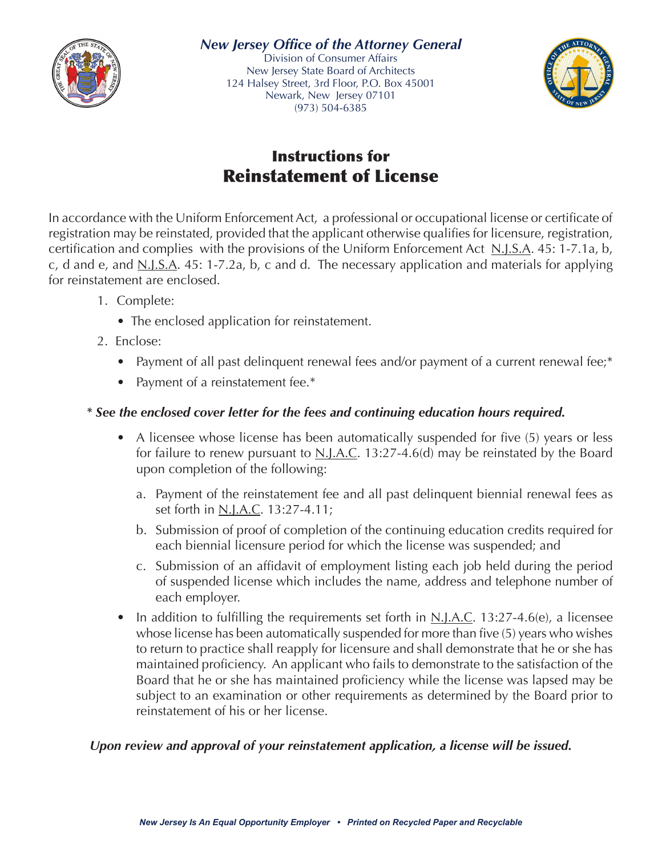



## Instructions for Reinstatement of License

In accordance with the Uniform Enforcement Act, a professional or occupational license or certificate of registration may be reinstated, provided that the applicant otherwise qualifies for licensure, registration, certification and complies with the provisions of the Uniform Enforcement Act  $N.I.S.A.$  45: 1-7.1a, b, c, d and e, and <u>N.J.S.A</u>. 45: 1-7.2a, b, c and d. The necessary application and materials for applying for reinstatement are enclosed.

- 1. Complete:
	- The enclosed application for reinstatement.
- 2. Enclose:
	- Payment of all past delinquent renewal fees and/or payment of a current renewal fee;\*
	- Payment of a reinstatement fee.\*

### *\* See the enclosed cover letter for the fees and continuing education hours required.*

- A licensee whose license has been automatically suspended for five (5) years or less for failure to renew pursuant to  $N.I.A.C.$  13:27-4.6(d) may be reinstated by the Board upon completion of the following:
	- a. Payment of the reinstatement fee and all past delinquent biennial renewal fees as set forth in N.J.A.C. 13:27-4.11;
	- b. Submission of proof of completion of the continuing education credits required for each biennial licensure period for which the license was suspended; and
	- c. Submission of an affidavit of employment listing each job held during the period of suspended license which includes the name, address and telephone number of each employer.
- In addition to fulfilling the requirements set forth in  $N.I.A.C.$  13:27-4.6(e), a licensee whose license has been automatically suspended for more than five (5) years who wishes to return to practice shall reapply for licensure and shall demonstrate that he or she has maintained proficiency. An applicant who fails to demonstrate to the satisfaction of the Board that he or she has maintained proficiency while the license was lapsed may be subject to an examination or other requirements as determined by the Board prior to reinstatement of his or her license.

### *Upon review and approval of your reinstatement application, a license will be issued.*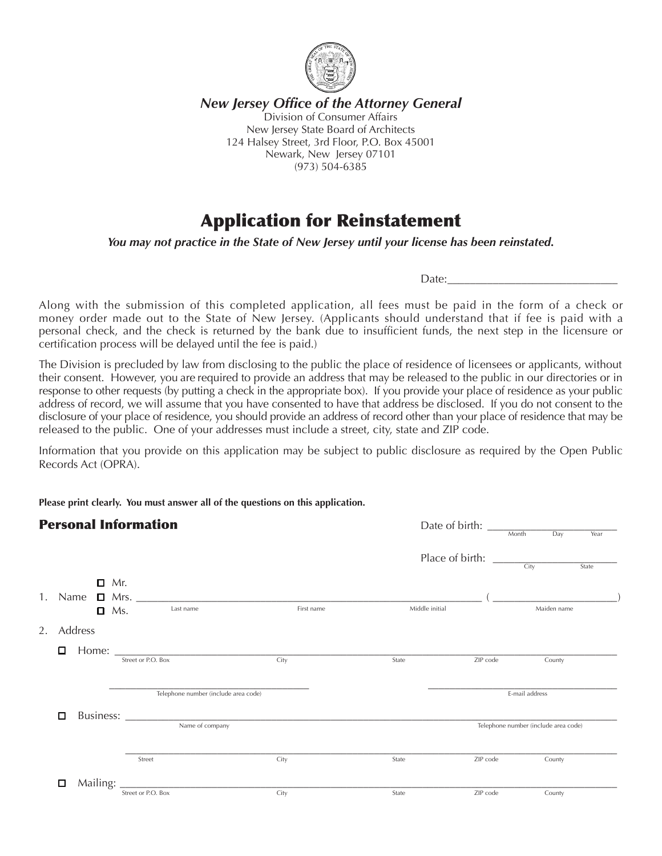

*New Jersey Office of the Attorney General* Division of Consumer Affairs New Jersey State Board of Architects 124 Halsey Street, 3rd Floor, P.O. Box 45001 Newark, New Jersey 07101 (973) 504-6385

## Application for Reinstatement

*You may not practice in the State of New Jersey until your license has been reinstated.*

Date:

Along with the submission of this completed application, all fees must be paid in the form of a check or money order made out to the State of New Jersey. (Applicants should understand that if fee is paid with a personal check, and the check is returned by the bank due to insufficient funds, the next step in the licensure or certification process will be delayed until the fee is paid.)

The Division is precluded by law from disclosing to the public the place of residence of licensees or applicants, without their consent.  However, you are required to provide an address that may be released to the public in our directories or in response to other requests (by putting a check in the appropriate box).  If you provide your place of residence as your public address of record, we will assume that you have consented to have that address be disclosed.  If you do not consent to the disclosure of your place of residence, you should provide an address of record other than your place of residence that may be released to the public.  One of your addresses must include a street, city, state and ZIP code.

Information that you provide on this application may be subject to public disclosure as required by the Open Public Records Act (OPRA).

**Please print clearly. You must answer all of the questions on this application.**

| <b>Personal Information</b> |            |  |                              |                                                                        |            | Date of birth: $\frac{1}{\sqrt{2\pi}}$ |                                                         | Year                                 |             |       |
|-----------------------------|------------|--|------------------------------|------------------------------------------------------------------------|------------|----------------------------------------|---------------------------------------------------------|--------------------------------------|-------------|-------|
|                             |            |  |                              |                                                                        |            |                                        | Place of birth: $\frac{C_{\text{ity}}}{C_{\text{ity}}}$ |                                      |             | State |
| 1.                          |            |  | $\Box$ Mr.<br>$\Box$ Ms.     | Name $\Box$ Mrs. $\_\_\_\_\_\_\_\_\_\_\_\_\_\_\_\_\_\_\_$<br>Last name | First name | Middle initial                         |                                                         |                                      | Maiden name |       |
|                             | 2. Address |  |                              |                                                                        |            |                                        |                                                         |                                      |             |       |
|                             | 0          |  |                              | Street or P.O. Box                                                     | City       | State                                  | ZIP code                                                |                                      | County      |       |
|                             |            |  |                              | Telephone number (include area code)                                   |            |                                        |                                                         | E-mail address                       |             |       |
|                             | □          |  | Business:<br>Name of company |                                                                        |            |                                        |                                                         | Telephone number (include area code) |             |       |
|                             |            |  |                              | Street                                                                 | City       | State                                  | ZIP code                                                |                                      | County      |       |
|                             | □          |  |                              |                                                                        |            |                                        |                                                         |                                      |             |       |
|                             |            |  |                              | Street or P.O. Box                                                     | City       | State                                  | ZIP code                                                |                                      | County      |       |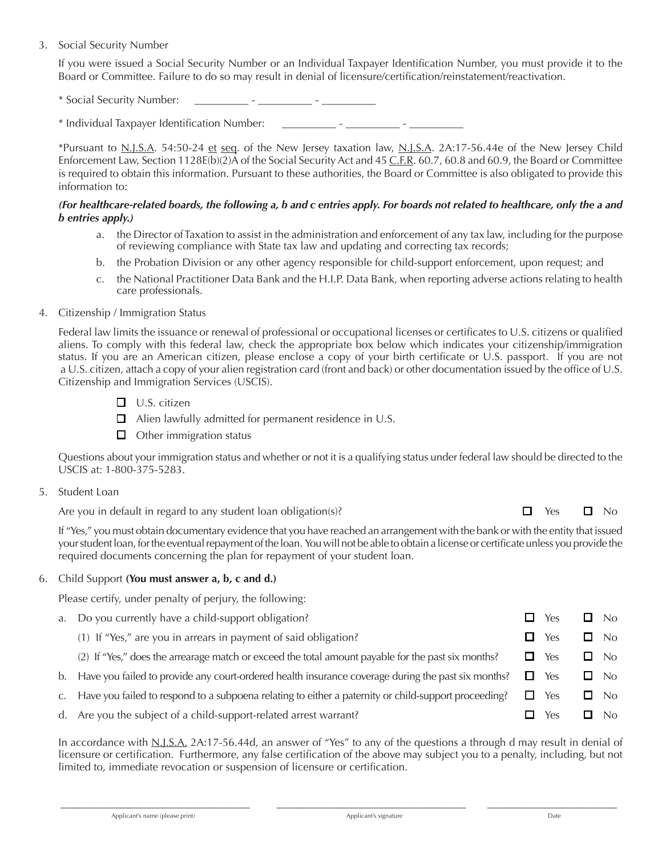#### 3. Social Security Number

If you were issued a Social Security Number or an Individual Taxpayer Identification Number, you must provide it to the Board or Committee. Failure to do so may result in denial of licensure/certification/reinstatement/reactivation.

\* Social Security Number:

\* Individual Taxpayer Identification Number: \_\_\_\_\_\_\_\_\_\_\_\_\_\_ - \_\_\_\_\_\_\_\_\_

 \*Pursuant to N.J.S.A. 54:50-24 et seq. of the New Jersey taxation law, N.J.S.A. 2A:17-56.44e of the New Jersey Child Enforcement Law, Section 1128E(b)(2)A of the Social Security Act and 45 C.F.R. 60.7, 60.8 and 60.9, the Board or Committee is required to obtain this information. Pursuant to these authorities, the Board or Committee is also obligated to provide this information to:

#### *(For healthcare-related boards, the following a, b and c entries apply. For boards not related to healthcare, only the a and b entries apply.)*

- a. the Director of Taxation to assist in the administration and enforcement of any tax law, including for the purpose of reviewing compliance with State tax law and updating and correcting tax records;
- b. the Probation Division or any other agency responsible for child-support enforcement, upon request; and
- c. the National Practitioner Data Bank and the H.I.P. Data Bank, when reporting adverse actions relating to health care professionals.

#### 4. Citizenship / Immigration Status

 Federal law limits the issuance or renewal of professional or occupational licenses or certificates to U.S. citizens or qualified aliens. To comply with this federal law, check the appropriate box below which indicates your citizenship/immigration status. If you are an American citizen, please enclose a copy of your birth certificate or U.S. passport. If you are not a U.S. citizen, attach a copy of your alien registration card (front and back) or other documentation issued by the office of U.S. Citizenship and Immigration Services (USCIS).

- $\Box$  U.S. citizen
- $\Box$  Alien lawfully admitted for permanent residence in U.S.
- $\Box$  Other immigration status

 Questions about your immigration status and whether or not it is a qualifying status under federal law should be directed to the USCIS at: 1-800-375-5283.

5. Student Loan

Are you in default in regard to any student loan obligation(s)?

| Yes | No |
|-----|----|
|     |    |

 If "Yes," you must obtain documentary evidence that you have reached an arrangement with the bank or with the entity that issued your student loan, for the eventual repayment of the loan. You will not be able to obtain a license or certificate unless you provide the required documents concerning the plan for repayment of your student loan.

#### 6. Child Support **(You must answer a, b, c and d.)**

Please certify, under penalty of perjury, the following:

- a. Do you currently have a child-support obligation?  $\square$  Yes  $\square$  No
	- (1) If "Yes," are you in arrears in payment of said obligation?  $\Box$  Yes  $\Box$  No
	- (2) If "Yes," does the arrearage match or exceed the total amount payable for the past six months?  $\Box$  Yes  $\Box$  No
- b. Have you failed to provide any court-ordered health insurance coverage during the past six months?  $\Box$  Yes  $\Box$  No
- c. Have you failed to respond to a subpoena relating to either a paternity or child-support proceeding?  $\square$  Yes  $\square$  No
- d. Are you the subject of a child-support-related arrest warrant?  $\square$  Yes  $\square$  No

 In accordance with N.J.S.A. 2A:17-56.44d, an answer of "Yes" to any of the questions a through d may result in denial of licensure or certification. Furthermore, any false certification of the above may subject you to a penalty, including, but not limited to, immediate revocation or suspension of licensure or certification.

 $\bar{a}$  , and the state of the state of the state of the state of the state of the state of the state of the state of the state of the state of the state of the state of the state of the state of the state of the state of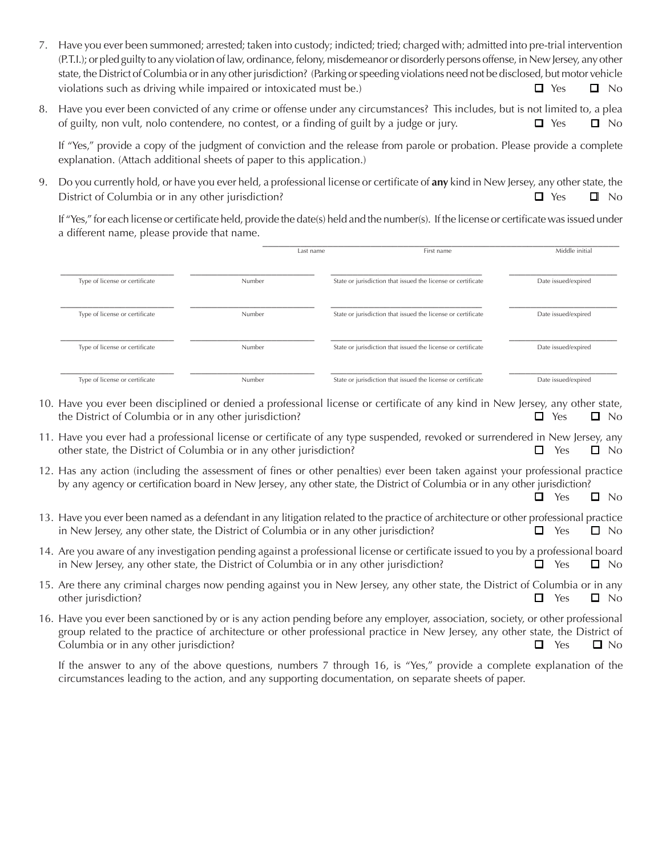- 7. Have you ever been summoned; arrested; taken into custody; indicted; tried; charged with; admitted into pre-trial intervention (P.T.I.); or pled guilty to any violation of law, ordinance, felony, misdemeanor or disorderly persons offense, in New Jersey, any other state, the District of Columbia or in any other jurisdiction? (Parking or speeding violations need not be disclosed, but motor vehicle violations such as driving while impaired or intoxicated must be.)  $\Box$  Yes  $\Box$  No
- 8. Have you ever been convicted of any crime or offense under any circumstances? This includes, but is not limited to, a plea of guilty, non vult, nolo contendere, no contest, or a finding of guilt by a judge or jury.  $\Box$  Yes  $\Box$  No

If "Yes," provide a copy of the judgment of conviction and the release from parole or probation. Please provide a complete explanation. (Attach additional sheets of paper to this application.)

9. Do you currently hold, or have you ever held, a professional license or certificate of **any** kind in New Jersey, any other state, the District of Columbia or in any other jurisdiction?  $\Box$  Yes  $\Box$  No

If "Yes," for each license or certificate held, provide the date(s) held and the number(s). If the license or certificate was issued under a different name, please provide that name.

| $\prime$ 1                     |        |                                                              |                     |
|--------------------------------|--------|--------------------------------------------------------------|---------------------|
|                                |        | First name<br>Last name                                      | Middle initial      |
| Type of license or certificate | Number | State or jurisdiction that issued the license or certificate | Date issued/expired |
| Type of license or certificate | Number | State or jurisdiction that issued the license or certificate | Date issued/expired |
| Type of license or certificate | Number | State or jurisdiction that issued the license or certificate | Date issued/expired |
| Type of license or certificate | Number | State or jurisdiction that issued the license or certificate | Date issued/expired |

- 10. Have you ever been disciplined or denied a professional license or certificate of any kind in New Jersey, any other state, the District of Columbia or in any other jurisdiction?  $\Box$  Yes  $\Box$  No
- 11. Have you ever had a professional license or certificate of any type suspended, revoked or surrendered in New Jersey, any other state, the District of Columbia or in any other jurisdiction?  $\square$  Yes  $\square$  No
- 12. Has any action (including the assessment of fines or other penalties) ever been taken against your professional practice by any agency or certification board in New Jersey, any other state, the District of Columbia or in any other jurisdiction?

 $\Box$  Yes  $\Box$  No

- 13. Have you ever been named as a defendant in any litigation related to the practice of architecture or other professional practice in New Jersey, any other state, the District of Columbia or in any other jurisdiction?  $\square$  Yes  $\square$  No
- 14. Are you aware of any investigation pending against a professional license or certificate issued to you by a professional board in New Jersey, any other state, the District of Columbia or in any other jurisdiction?  $\square$  Yes  $\square$  No
- 15. Are there any criminal charges now pending against you in New Jersey, any other state, the District of Columbia or in any other jurisdiction?  $\Box$  Yes  $\Box$  No
- 16. Have you ever been sanctioned by or is any action pending before any employer, association, society, or other professional group related to the practice of architecture or other professional practice in New Jersey, any other state, the District of Columbia or in any other jurisdiction?  $\Box$  Yes  $\Box$  No

If the answer to any of the above questions, numbers 7 through 16, is "Yes," provide a complete explanation of the circumstances leading to the action, and any supporting documentation, on separate sheets of paper.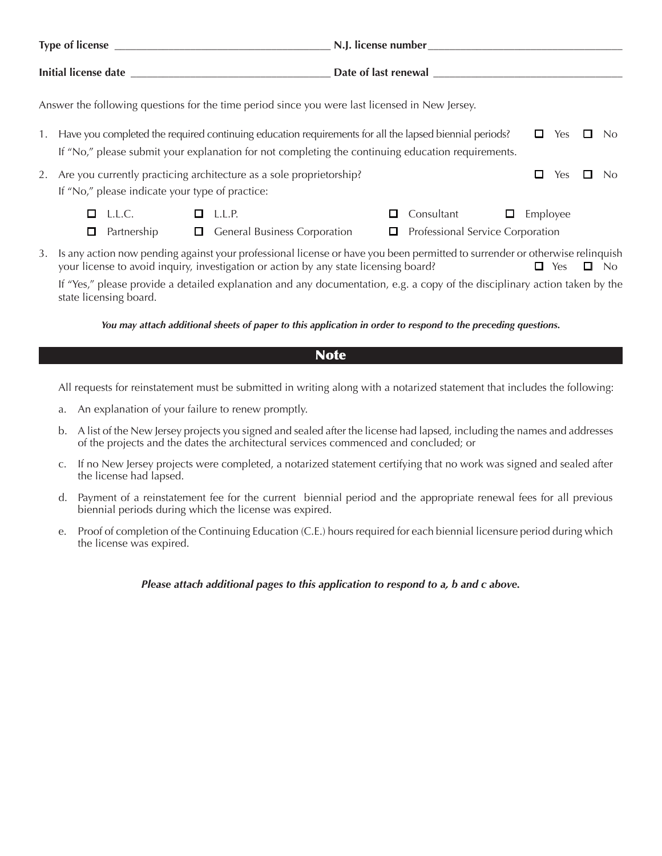|                                                                                                                                                                                                                          | Answer the following questions for the time period since you were last licensed in New Jersey. |                                                                     |                                                               |          |   |                |  |  |  |
|--------------------------------------------------------------------------------------------------------------------------------------------------------------------------------------------------------------------------|------------------------------------------------------------------------------------------------|---------------------------------------------------------------------|---------------------------------------------------------------|----------|---|----------------|--|--|--|
| Have you completed the required continuing education requirements for all the lapsed biennial periods?<br>Yes<br>1.<br>If "No," please submit your explanation for not completing the continuing education requirements. |                                                                                                |                                                                     |                                                               |          | ப | N <sub>0</sub> |  |  |  |
| 2.                                                                                                                                                                                                                       | If "No," please indicate your type of practice:                                                | Are you currently practicing architecture as a sole proprietorship? |                                                               | □<br>Yes |   | No.            |  |  |  |
|                                                                                                                                                                                                                          | L.L.C.<br>0<br>Partnership                                                                     | $\Box$ L.L.P.<br><b>General Business Corporation</b>                | Consultant<br>П<br>⊔<br>Professional Service Corporation<br>□ | Employee |   |                |  |  |  |

3. Is any action now pending against your professional license or have you been permitted to surrender or otherwise relinquish your license to avoid inquiry, investigation or action by any state licensing board?  $\square$  Yes  $\square$  No

If "Yes," please provide a detailed explanation and any documentation, e.g. a copy of the disciplinary action taken by the state licensing board.

*You may attach additional sheets of paper to this application in order to respond to the preceding questions.*

#### **Note**

All requests for reinstatement must be submitted in writing along with a notarized statement that includes the following:

- a. An explanation of your failure to renew promptly.
- b. A list of the New Jersey projects you signed and sealed after the license had lapsed, including the names and addresses of the projects and the dates the architectural services commenced and concluded; or
- c. If no New Jersey projects were completed, a notarized statement certifying that no work was signed and sealed after the license had lapsed.
- d. Payment of a reinstatement fee for the current biennial period and the appropriate renewal fees for all previous biennial periods during which the license was expired.
- e. Proof of completion of the Continuing Education (C.E.) hours required for each biennial licensure period during which the license was expired.

*Please attach additional pages to this application to respond to a, b and c above.*